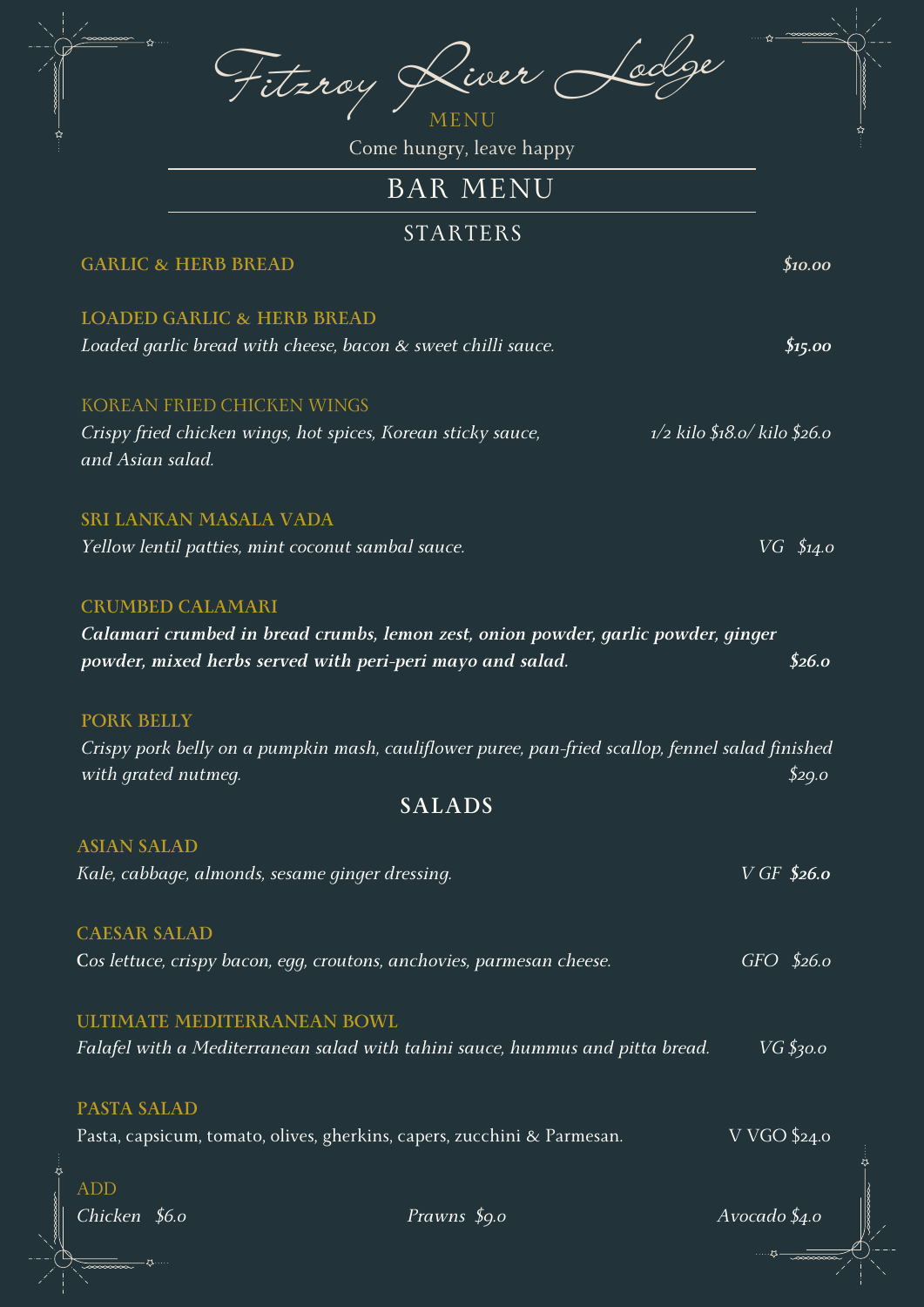|                                                                                                                   | Liver Lodge<br>Fitzroy                                                                                                                         |                          |                          |
|-------------------------------------------------------------------------------------------------------------------|------------------------------------------------------------------------------------------------------------------------------------------------|--------------------------|--------------------------|
|                                                                                                                   |                                                                                                                                                |                          |                          |
|                                                                                                                   | Come hungry, leave happy                                                                                                                       |                          |                          |
|                                                                                                                   | <b>BAR MENU</b>                                                                                                                                |                          |                          |
|                                                                                                                   | <b>STARTERS</b>                                                                                                                                |                          |                          |
|                                                                                                                   | <b>GARLIC &amp; HERB BREAD</b>                                                                                                                 |                          | \$10.00                  |
|                                                                                                                   | <b>LOADED GARLIC &amp; HERB BREAD</b>                                                                                                          |                          |                          |
|                                                                                                                   | Loaded garlic bread with cheese, bacon & sweet chilli sauce.                                                                                   |                          | \$15.00                  |
|                                                                                                                   | <b>KOREAN FRIED CHICKEN WINGS</b>                                                                                                              |                          |                          |
| $1/2$ kilo \$18.0/kilo \$26.0<br>Crispy fried chicken wings, hot spices, Korean sticky sauce,<br>and Asian salad. |                                                                                                                                                |                          |                          |
|                                                                                                                   | <b>SRI LANKAN MASALA VADA</b>                                                                                                                  |                          |                          |
|                                                                                                                   | Yellow lentil patties, mint coconut sambal sauce.                                                                                              |                          | $VG \, \, \text{\$14.0}$ |
|                                                                                                                   | <b>CRUMBED CALAMARI</b>                                                                                                                        |                          |                          |
|                                                                                                                   | Calamari crumbed in bread crumbs, lemon zest, onion powder, garlic powder, ginger<br>powder, mixed herbs served with peri-peri mayo and salad. |                          | \$26.0                   |
|                                                                                                                   |                                                                                                                                                |                          |                          |
|                                                                                                                   | Crispy pork belly on a pumpkin mash, cauliflower puree, pan-fried scallop, fennel salad finished<br>with grated nutmeg.                        |                          | \$29.0                   |
|                                                                                                                   | <b>SALADS</b>                                                                                                                                  |                          |                          |
|                                                                                                                   |                                                                                                                                                |                          |                          |
|                                                                                                                   | <b>ASIAN SALAD</b><br>Kale, cabbage, almonds, sesame ginger dressing.                                                                          | $V$ GF \$26.0            |                          |
|                                                                                                                   | <b>CAESAR SALAD</b>                                                                                                                            |                          |                          |
|                                                                                                                   | Cos lettuce, crispy bacon, egg, croutons, anchovies, parmesan cheese.                                                                          | $GFO$ \$26.0             |                          |
|                                                                                                                   | <b>ULTIMATE MEDITERRANEAN BOWL</b>                                                                                                             |                          |                          |
|                                                                                                                   | Falafel with a Mediterranean salad with tahini sauce, hummus and pitta bread.                                                                  |                          | $VG$ \$30.0              |
|                                                                                                                   | <b>PASTA SALAD</b>                                                                                                                             |                          |                          |
|                                                                                                                   | Pasta, capsicum, tomato, olives, gherkins, capers, zucchini & Parmesan.                                                                        | V VGO \$24.0             |                          |
|                                                                                                                   | <b>ADD</b>                                                                                                                                     |                          |                          |
|                                                                                                                   | Chicken \$6.0<br>Prawns \$9.0                                                                                                                  | Avocado $\frac{1}{4}$ .o |                          |

Z.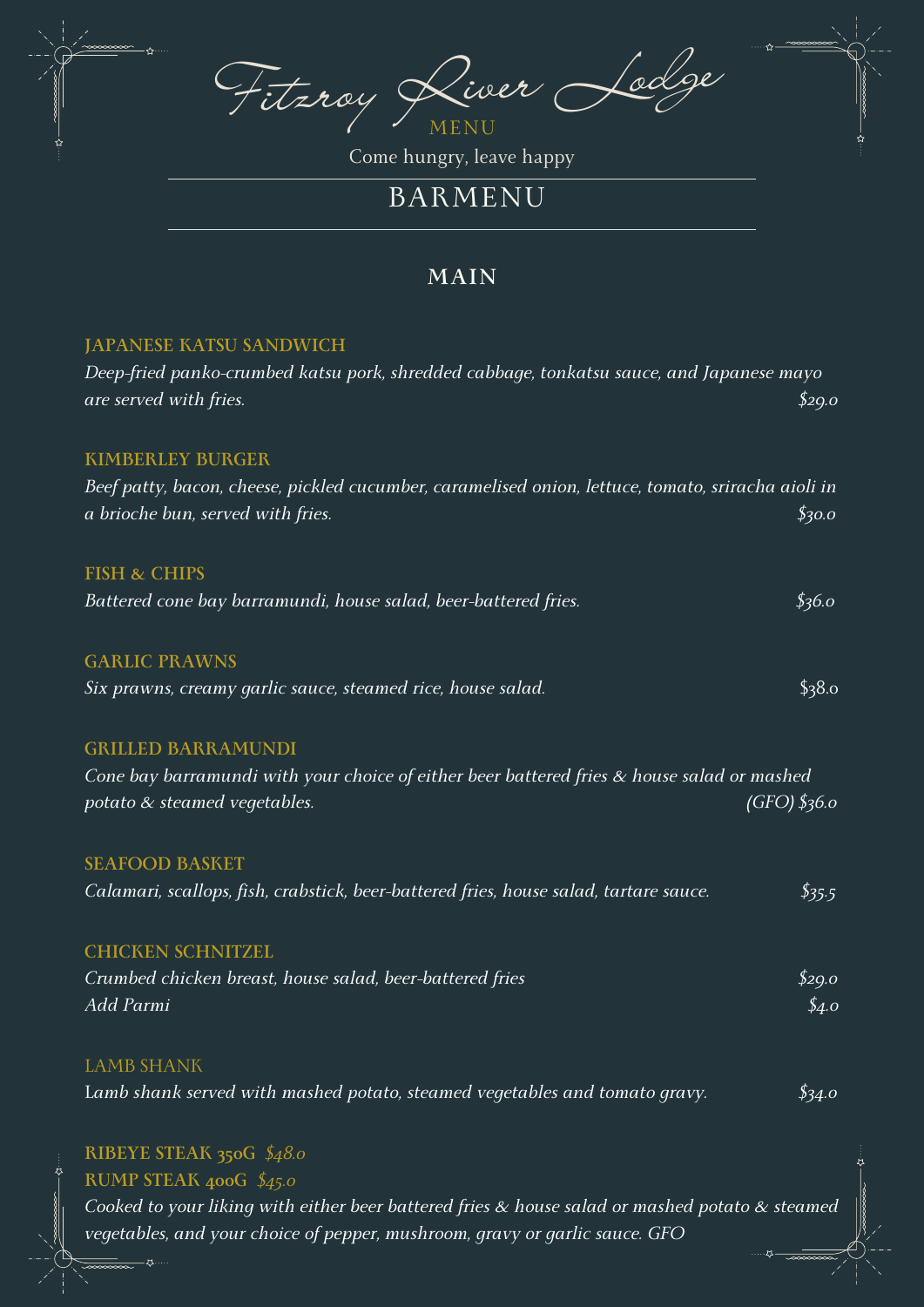Fitzroy River Lodge MENU

Come hungry, leave happy

# BARMENU

### **MAIN**

#### **JAPANESE KATSU SANDWICH**

| Deep-fried panko-crumbed katsu pork, shredded cabbage, tonkatsu sauce, and Japanese mayo<br>are served with fries.                                                 | \$29.0                             |  |  |
|--------------------------------------------------------------------------------------------------------------------------------------------------------------------|------------------------------------|--|--|
| <b>KIMBERLEY BURGER</b><br>Beef patty, bacon, cheese, pickled cucumber, caramelised onion, lettuce, tomato, sriracha aioli in<br>a brioche bun, served with fries. | \$30.0                             |  |  |
| <b>FISH &amp; CHIPS</b>                                                                                                                                            |                                    |  |  |
| Battered cone bay barramundi, house salad, beer-battered fries.                                                                                                    | \$36.0                             |  |  |
| <b>GARLIC PRAWNS</b>                                                                                                                                               |                                    |  |  |
| Six prawns, creamy garlic sauce, steamed rice, house salad.                                                                                                        | \$38.0                             |  |  |
| <b>GRILLED BARRAMUNDI</b>                                                                                                                                          |                                    |  |  |
| Cone bay barramundi with your choice of either beer battered fries & house salad or mashed<br>$(GFO)$ \$36.0<br>potato & steamed vegetables.                       |                                    |  |  |
| <b>SEAFOOD BASKET</b>                                                                                                                                              |                                    |  |  |
| Calamari, scallops, fish, crabstick, beer-battered fries, house salad, tartare sauce.                                                                              | \$35.5                             |  |  |
| <b>CHICKEN SCHNITZEL</b>                                                                                                                                           |                                    |  |  |
| Crumbed chicken breast, house salad, beer-battered fries<br>Add Parmi                                                                                              | \$29.0<br>$\oint_{\mathcal{A}}$ .0 |  |  |
| <b>LAMB SHANK</b>                                                                                                                                                  |                                    |  |  |
| Lamb shank served with mashed potato, steamed vegetables and tomato gravy.                                                                                         | \$34.0                             |  |  |
| RIBEYE STEAK 350G $$48.0$                                                                                                                                          |                                    |  |  |
| RUMP STEAK 400G \$45.0                                                                                                                                             |                                    |  |  |
| Cooked to your liking with either beer battered fries $\&$ house salad or mashed potato $\&$ steamed                                                               |                                    |  |  |

*vegetables, and your choice of pepper, mushroom, gravy or garlic sauce. GFO*